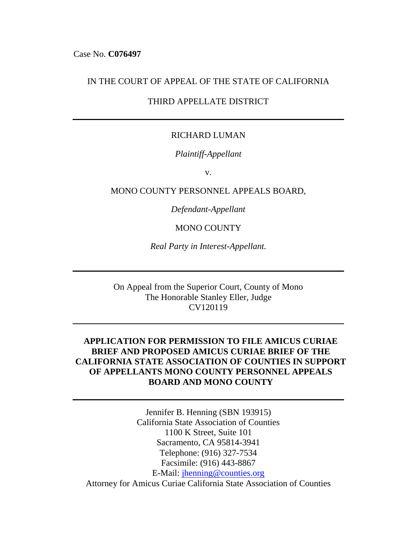### IN THE COURT OF APPEAL OF THE STATE OF CALIFORNIA

## THIRD APPELLATE DISTRICT

## RICHARD LUMAN

### *Plaintiff-Appellant*

v.

### MONO COUNTY PERSONNEL APPEALS BOARD,

*Defendant-Appellant*

### MONO COUNTY

*Real Party in Interest-Appellant.*

On Appeal from the Superior Court, County of Mono The Honorable Stanley Eller, Judge CV120119

## **APPLICATION FOR PERMISSION TO FILE AMICUS CURIAE BRIEF AND PROPOSED AMICUS CURIAE BRIEF OF THE CALIFORNIA STATE ASSOCIATION OF COUNTIES IN SUPPORT OF APPELLANTS MONO COUNTY PERSONNEL APPEALS BOARD AND MONO COUNTY**

Jennifer B. Henning (SBN 193915) California State Association of Counties 1100 K Street, Suite 101 Sacramento, CA 95814-3941 Telephone: (916) 327-7534 Facsimile: (916) 443-8867 E-Mail: [jhenning@counties.org](mailto:jhenning@counties.org) Attorney for Amicus Curiae California State Association of Counties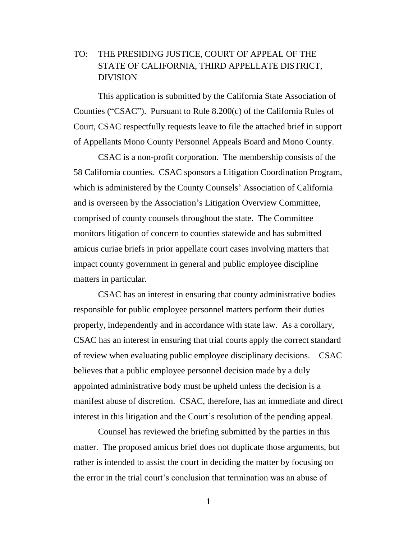## TO: THE PRESIDING JUSTICE, COURT OF APPEAL OF THE STATE OF CALIFORNIA, THIRD APPELLATE DISTRICT, DIVISION

This application is submitted by the California State Association of Counties ("CSAC"). Pursuant to Rule 8.200(c) of the California Rules of Court, CSAC respectfully requests leave to file the attached brief in support of Appellants Mono County Personnel Appeals Board and Mono County.

CSAC is a non-profit corporation. The membership consists of the 58 California counties. CSAC sponsors a Litigation Coordination Program, which is administered by the County Counsels' Association of California and is overseen by the Association's Litigation Overview Committee, comprised of county counsels throughout the state. The Committee monitors litigation of concern to counties statewide and has submitted amicus curiae briefs in prior appellate court cases involving matters that impact county government in general and public employee discipline matters in particular.

CSAC has an interest in ensuring that county administrative bodies responsible for public employee personnel matters perform their duties properly, independently and in accordance with state law. As a corollary, CSAC has an interest in ensuring that trial courts apply the correct standard of review when evaluating public employee disciplinary decisions. CSAC believes that a public employee personnel decision made by a duly appointed administrative body must be upheld unless the decision is a manifest abuse of discretion. CSAC, therefore, has an immediate and direct interest in this litigation and the Court's resolution of the pending appeal.

Counsel has reviewed the briefing submitted by the parties in this matter. The proposed amicus brief does not duplicate those arguments, but rather is intended to assist the court in deciding the matter by focusing on the error in the trial court's conclusion that termination was an abuse of

1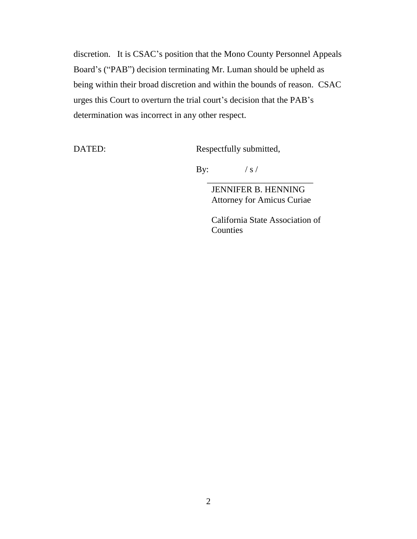discretion. It is CSAC's position that the Mono County Personnel Appeals Board's ("PAB") decision terminating Mr. Luman should be upheld as being within their broad discretion and within the bounds of reason. CSAC urges this Court to overturn the trial court's decision that the PAB's determination was incorrect in any other respect.

DATED: Respectfully submitted,

By:  $/ s /$ 

JENNIFER B. HENNING Attorney for Amicus Curiae

 $\frac{1}{\sqrt{2}}$  ,  $\frac{1}{\sqrt{2}}$  ,  $\frac{1}{\sqrt{2}}$  ,  $\frac{1}{\sqrt{2}}$  ,  $\frac{1}{\sqrt{2}}$  ,  $\frac{1}{\sqrt{2}}$  ,  $\frac{1}{\sqrt{2}}$  ,  $\frac{1}{\sqrt{2}}$  ,  $\frac{1}{\sqrt{2}}$  ,  $\frac{1}{\sqrt{2}}$  ,  $\frac{1}{\sqrt{2}}$  ,  $\frac{1}{\sqrt{2}}$  ,  $\frac{1}{\sqrt{2}}$  ,  $\frac{1}{\sqrt{2}}$  ,  $\frac{1}{\sqrt{2}}$ 

California State Association of **Counties**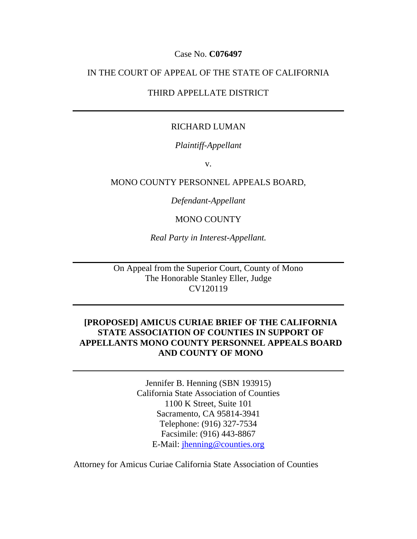### Case No. **C076497**

## IN THE COURT OF APPEAL OF THE STATE OF CALIFORNIA

## THIRD APPELLATE DISTRICT

### RICHARD LUMAN

### *Plaintiff-Appellant*

v.

MONO COUNTY PERSONNEL APPEALS BOARD,

*Defendant-Appellant*

MONO COUNTY

*Real Party in Interest-Appellant.*

On Appeal from the Superior Court, County of Mono The Honorable Stanley Eller, Judge CV120119

## **[PROPOSED] AMICUS CURIAE BRIEF OF THE CALIFORNIA STATE ASSOCIATION OF COUNTIES IN SUPPORT OF APPELLANTS MONO COUNTY PERSONNEL APPEALS BOARD AND COUNTY OF MONO**

Jennifer B. Henning (SBN 193915) California State Association of Counties 1100 K Street, Suite 101 Sacramento, CA 95814-3941 Telephone: (916) 327-7534 Facsimile: (916) 443-8867 E-Mail: [jhenning@counties.org](mailto:jhenning@counties.org)

Attorney for Amicus Curiae California State Association of Counties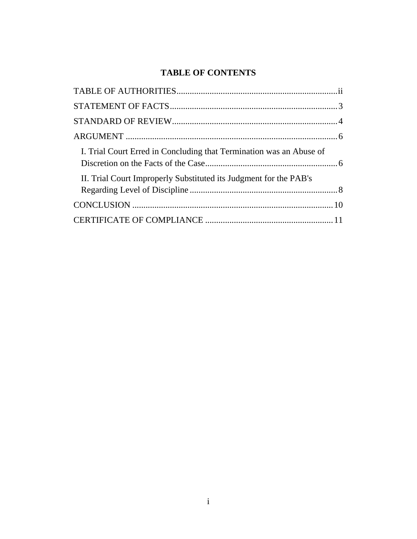# **TABLE OF CONTENTS**

| I. Trial Court Erred in Concluding that Termination was an Abuse of |
|---------------------------------------------------------------------|
| II. Trial Court Improperly Substituted its Judgment for the PAB's   |
|                                                                     |
|                                                                     |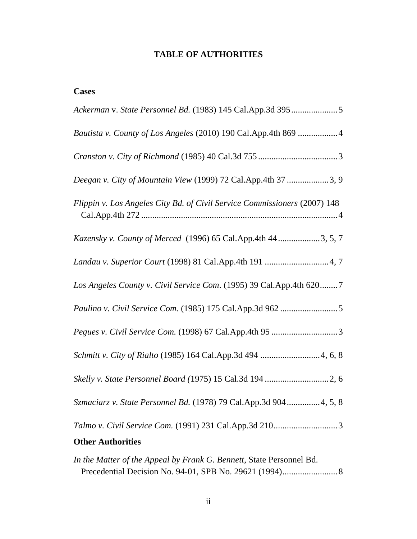## **TABLE OF AUTHORITIES**

| Bautista v. County of Los Angeles (2010) 190 Cal.App.4th 869 4            |
|---------------------------------------------------------------------------|
|                                                                           |
| Deegan v. City of Mountain View (1999) 72 Cal.App.4th 37 3, 9             |
| Flippin v. Los Angeles City Bd. of Civil Service Commissioners (2007) 148 |
| Kazensky v. County of Merced (1996) 65 Cal.App.4th 44 3, 5, 7             |
|                                                                           |
| Los Angeles County v. Civil Service Com. (1995) 39 Cal. App. 4th 620 7    |
|                                                                           |
|                                                                           |
| Schmitt v. City of Rialto (1985) 164 Cal.App.3d 494 4, 6, 8               |
|                                                                           |
| Szmaciarz v. State Personnel Bd. (1978) 79 Cal.App.3d 904 4, 5, 8         |
| <b>Other Authorities</b>                                                  |
| In the Matter of the Anneal by Frank C, Remett, State Dersonnel Dd.       |

*In the Matter of the Appeal by Frank G. Bennett*, State Personnel Bd. Precedential Decision No. 94-01, SPB No. 29621 (1994).........................8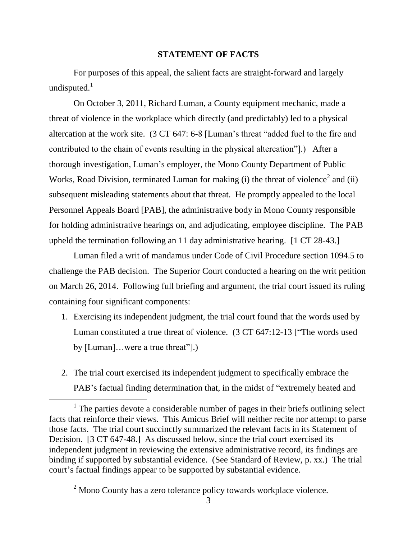### **STATEMENT OF FACTS**

For purposes of this appeal, the salient facts are straight-forward and largely undisputed. $<sup>1</sup>$ </sup>

On October 3, 2011, Richard Luman, a County equipment mechanic, made a threat of violence in the workplace which directly (and predictably) led to a physical altercation at the work site. (3 CT 647: 6-8 [Luman's threat "added fuel to the fire and contributed to the chain of events resulting in the physical altercation"].) After a thorough investigation, Luman's employer, the Mono County Department of Public Works, Road Division, terminated Luman for making (i) the threat of violence<sup>2</sup> and (ii) subsequent misleading statements about that threat. He promptly appealed to the local Personnel Appeals Board [PAB], the administrative body in Mono County responsible for holding administrative hearings on, and adjudicating, employee discipline. The PAB upheld the termination following an 11 day administrative hearing. [1 CT 28-43.]

Luman filed a writ of mandamus under Code of Civil Procedure section 1094.5 to challenge the PAB decision. The Superior Court conducted a hearing on the writ petition on March 26, 2014. Following full briefing and argument, the trial court issued its ruling containing four significant components:

- 1. Exercising its independent judgment, the trial court found that the words used by Luman constituted a true threat of violence. (3 CT 647:12-13 ["The words used by [Luman]…were a true threat"].)
- 2. The trial court exercised its independent judgment to specifically embrace the PAB's factual finding determination that, in the midst of "extremely heated and

 $\overline{\phantom{a}}$ 

 $<sup>1</sup>$  The parties devote a considerable number of pages in their briefs outlining select</sup> facts that reinforce their views. This Amicus Brief will neither recite nor attempt to parse those facts. The trial court succinctly summarized the relevant facts in its Statement of Decision. [3 CT 647-48.] As discussed below, since the trial court exercised its independent judgment in reviewing the extensive administrative record, its findings are binding if supported by substantial evidence. (See Standard of Review, p. xx.) The trial court's factual findings appear to be supported by substantial evidence.

<sup>&</sup>lt;sup>2</sup> Mono County has a zero tolerance policy towards workplace violence.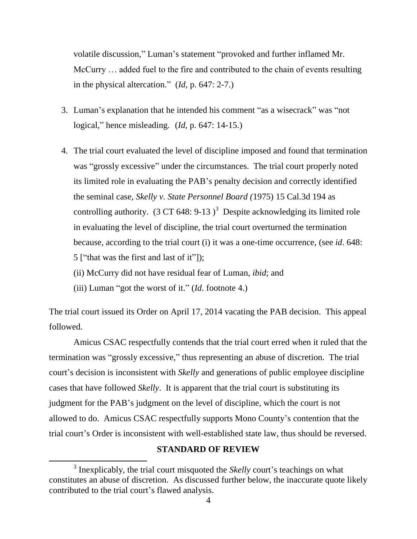volatile discussion," Luman's statement "provoked and further inflamed Mr. McCurry … added fuel to the fire and contributed to the chain of events resulting in the physical altercation." (*Id*, p. 647: 2-7.)

- 3. Luman's explanation that he intended his comment "as a wisecrack" was "not logical," hence misleading. (*Id*, p. 647: 14-15.)
- 4. The trial court evaluated the level of discipline imposed and found that termination was "grossly excessive" under the circumstances. The trial court properly noted its limited role in evaluating the PAB's penalty decision and correctly identified the seminal case, *Skelly v. State Personnel Board (*1975) 15 Cal.3d 194 as controlling authority. (3 CT 648: 9-13)<sup>3</sup> Despite acknowledging its limited role in evaluating the level of discipline, the trial court overturned the termination because, according to the trial court (i) it was a one-time occurrence, (see *id*. 648: 5 ["that was the first and last of it"]);
	- (ii) McCurry did not have residual fear of Luman, *ibid*; and
	- (iii) Luman "got the worst of it." (*Id*. footnote 4.)

 $\overline{a}$ 

The trial court issued its Order on April 17, 2014 vacating the PAB decision. This appeal followed.

Amicus CSAC respectfully contends that the trial court erred when it ruled that the termination was "grossly excessive," thus representing an abuse of discretion. The trial court's decision is inconsistent with *Skelly* and generations of public employee discipline cases that have followed *Skelly*. It is apparent that the trial court is substituting its judgment for the PAB's judgment on the level of discipline, which the court is not allowed to do. Amicus CSAC respectfully supports Mono County's contention that the trial court's Order is inconsistent with well-established state law, thus should be reversed.

### **STANDARD OF REVIEW**

<sup>&</sup>lt;sup>3</sup> Inexplicably, the trial court misquoted the *Skelly* court's teachings on what constitutes an abuse of discretion. As discussed further below, the inaccurate quote likely contributed to the trial court's flawed analysis.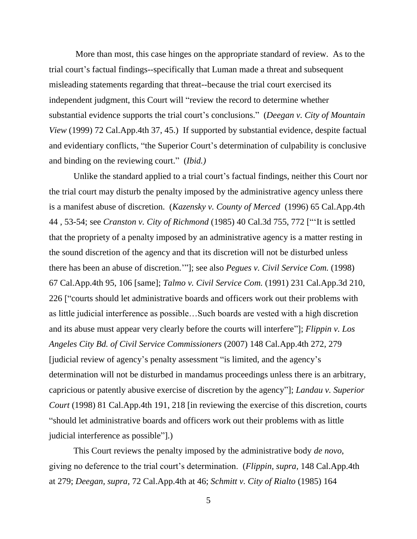More than most, this case hinges on the appropriate standard of review. As to the trial court's factual findings--specifically that Luman made a threat and subsequent misleading statements regarding that threat--because the trial court exercised its independent judgment, this Court will "review the record to determine whether substantial evidence supports the trial court's conclusions." (*Deegan v. City of Mountain View* (1999) 72 Cal.App.4th 37, 45.) If supported by substantial evidence, despite factual and evidentiary conflicts, "the Superior Court's determination of culpability is conclusive and binding on the reviewing court." (*Ibid.)*

Unlike the standard applied to a trial court's factual findings, neither this Court nor the trial court may disturb the penalty imposed by the administrative agency unless there is a manifest abuse of discretion. (*Kazensky v. County of Merced* (1996) 65 Cal.App.4th 44 , 53-54; see *Cranston v. City of Richmond* (1985) 40 Cal.3d 755, 772 ["'It is settled that the propriety of a penalty imposed by an administrative agency is a matter resting in the sound discretion of the agency and that its discretion will not be disturbed unless there has been an abuse of discretion.'"]; see also *Pegues v. Civil Service Com.* (1998) 67 Cal.App.4th 95, 106 [same]; *Talmo v. Civil Service Com.* (1991) 231 Cal.App.3d 210, 226 ["courts should let administrative boards and officers work out their problems with as little judicial interference as possible…Such boards are vested with a high discretion and its abuse must appear very clearly before the courts will interfere"]; *Flippin v. Los Angeles City Bd. of Civil Service Commissioners* (2007) 148 Cal.App.4th 272, 279 [judicial review of agency's penalty assessment "is limited, and the agency's determination will not be disturbed in mandamus proceedings unless there is an arbitrary, capricious or patently abusive exercise of discretion by the agency"]; *Landau v. Superior Court* (1998) 81 Cal.App.4th 191, 218 [in reviewing the exercise of this discretion, courts "should let administrative boards and officers work out their problems with as little judicial interference as possible"].)

This Court reviews the penalty imposed by the administrative body *de novo*, giving no deference to the trial court's determination. (*Flippin, supra,* 148 Cal.App.4th at 279; *Deegan, supra,* 72 Cal.App.4th at 46; *Schmitt v. City of Rialto* (1985) 164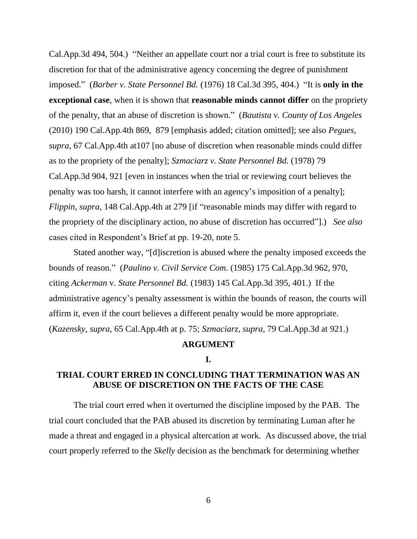Cal.App.3d 494, 504.) "Neither an appellate court nor a trial court is free to substitute its discretion for that of the administrative agency concerning the degree of punishment imposed." (*Barber v. State Personnel Bd.* (1976) 18 Cal.3d 395, 404.) "It is **only in the exceptional case**, when it is shown that **reasonable minds cannot differ** on the propriety of the penalty, that an abuse of discretion is shown." (*Bautista v. County of Los Angeles*  (2010) 190 Cal.App.4th 869, 879 [emphasis added; citation omitted]; see also *Pegues, supra*, 67 Cal.App.4th at107 [no abuse of discretion when reasonable minds could differ as to the propriety of the penalty]; *Szmaciarz v. State Personnel Bd.* (1978) 79 Cal.App.3d 904, 921 [even in instances when the trial or reviewing court believes the penalty was too harsh, it cannot interfere with an agency's imposition of a penalty]; *Flippin, supra,* 148 Cal.App.4th at 279 [if "reasonable minds may differ with regard to the propriety of the disciplinary action, no abuse of discretion has occurred"].) *See also* cases cited in Respondent's Brief at pp. 19-20, note 5.

Stated another way, "[d]iscretion is abused where the penalty imposed exceeds the bounds of reason." (*Paulino v. Civil Service Com.* (1985) 175 Cal.App.3d 962, 970, citing *Ackerman* v. *State Personnel Bd.* (1983) 145 Cal.App.3d 395, 401.) If the administrative agency's penalty assessment is within the bounds of reason, the courts will affirm it, even if the court believes a different penalty would be more appropriate. (*Kazensky*, *supra*, 65 Cal.App.4th at p. 75; *Szmaciarz, supra*, 79 Cal.App.3d at 921.)

## **ARGUMENT**

#### **I.**

## **TRIAL COURT ERRED IN CONCLUDING THAT TERMINATION WAS AN ABUSE OF DISCRETION ON THE FACTS OF THE CASE**

The trial court erred when it overturned the discipline imposed by the PAB. The trial court concluded that the PAB abused its discretion by terminating Luman after he made a threat and engaged in a physical altercation at work. As discussed above, the trial court properly referred to the *Skelly* decision as the benchmark for determining whether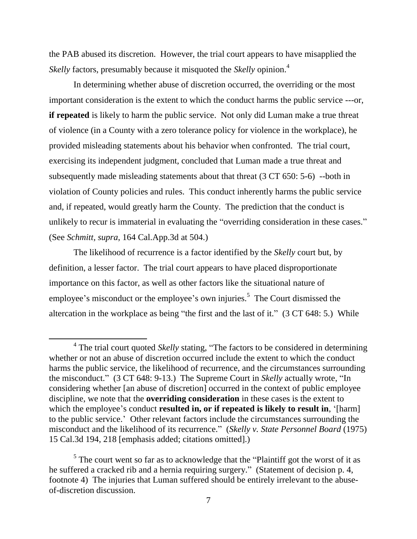the PAB abused its discretion. However, the trial court appears to have misapplied the *Skelly* factors, presumably because it misquoted the *Skelly* opinion.<sup>4</sup>

In determining whether abuse of discretion occurred, the overriding or the most important consideration is the extent to which the conduct harms the public service ---or, **if repeated** is likely to harm the public service. Not only did Luman make a true threat of violence (in a County with a zero tolerance policy for violence in the workplace), he provided misleading statements about his behavior when confronted. The trial court, exercising its independent judgment, concluded that Luman made a true threat and subsequently made misleading statements about that threat (3 CT 650: 5-6) --both in violation of County policies and rules. This conduct inherently harms the public service and, if repeated, would greatly harm the County. The prediction that the conduct is unlikely to recur is immaterial in evaluating the "overriding consideration in these cases." (See *Schmitt, supra*, 164 Cal.App.3d at 504.)

The likelihood of recurrence is a factor identified by the *Skelly* court but, by definition, a lesser factor. The trial court appears to have placed disproportionate importance on this factor, as well as other factors like the situational nature of employee's misconduct or the employee's own injuries.<sup>5</sup> The Court dismissed the altercation in the workplace as being "the first and the last of it." (3 CT 648: 5.) While

 $\overline{\phantom{a}}$ 

<sup>&</sup>lt;sup>4</sup> The trial court quoted *Skelly* stating, "The factors to be considered in determining whether or not an abuse of discretion occurred include the extent to which the conduct harms the public service, the likelihood of recurrence, and the circumstances surrounding the misconduct." (3 CT 648: 9-13.) The Supreme Court in *Skelly* actually wrote, "In considering whether [an abuse of discretion] occurred in the context of public employee discipline, we note that the **overriding consideration** in these cases is the extent to which the employee's conduct **resulted in, or if repeated is likely to result in**, '[harm] to the public service.' Other relevant factors include the circumstances surrounding the misconduct and the likelihood of its recurrence." (*Skelly v. State Personnel Board* (1975) 15 Cal.3d 194, 218 [emphasis added; citations omitted].)

<sup>&</sup>lt;sup>5</sup> The court went so far as to acknowledge that the "Plaintiff got the worst of it as he suffered a cracked rib and a hernia requiring surgery." (Statement of decision p. 4, footnote 4) The injuries that Luman suffered should be entirely irrelevant to the abuseof-discretion discussion.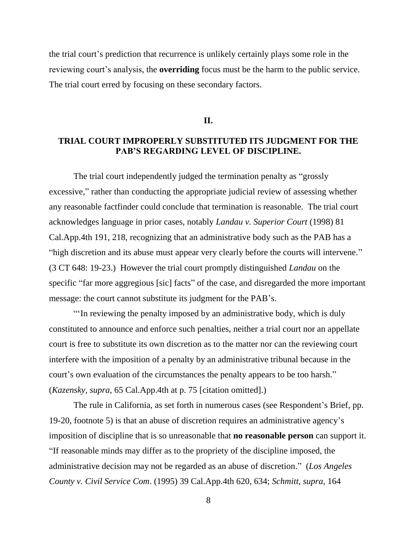the trial court's prediction that recurrence is unlikely certainly plays some role in the reviewing court's analysis, the **overriding** focus must be the harm to the public service. The trial court erred by focusing on these secondary factors.

**II.**

## **TRIAL COURT IMPROPERLY SUBSTITUTED ITS JUDGMENT FOR THE PAB'S REGARDING LEVEL OF DISCIPLINE.**

The trial court independently judged the termination penalty as "grossly excessive," rather than conducting the appropriate judicial review of assessing whether any reasonable factfinder could conclude that termination is reasonable. The trial court acknowledges language in prior cases, notably *Landau v. Superior Court* (1998) 81 Cal.App.4th 191, 218, recognizing that an administrative body such as the PAB has a "high discretion and its abuse must appear very clearly before the courts will intervene." (3 CT 648: 19-23.) However the trial court promptly distinguished *Landau* on the specific "far more aggregious [sic] facts" of the case, and disregarded the more important message: the court cannot substitute its judgment for the PAB's.

"'In reviewing the penalty imposed by an administrative body, which is duly constituted to announce and enforce such penalties, neither a trial court nor an appellate court is free to substitute its own discretion as to the matter nor can the reviewing court interfere with the imposition of a penalty by an administrative tribunal because in the court's own evaluation of the circumstances the penalty appears to be too harsh." (*Kazensky*, *supra*, 65 Cal.App.4th at p. 75 [citation omitted].)

The rule in California, as set forth in numerous cases (see Respondent's Brief, pp. 19-20, footnote 5) is that an abuse of discretion requires an administrative agency's imposition of discipline that is so unreasonable that **no reasonable person** can support it. "If reasonable minds may differ as to the propriety of the discipline imposed, the administrative decision may not be regarded as an abuse of discretion." (*Los Angeles County v. Civil Service Com*. (1995) 39 Cal.App.4th 620, 634; *Schmitt, supra,* 164

8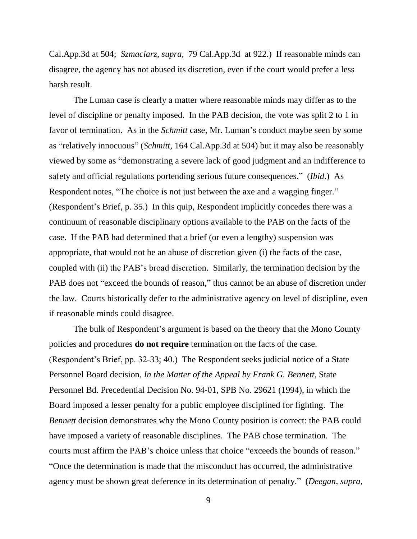Cal.App.3d at 504; *Szmaciarz, supra,* 79 Cal.App.3d at 922.) If reasonable minds can disagree, the agency has not abused its discretion, even if the court would prefer a less harsh result.

The Luman case is clearly a matter where reasonable minds may differ as to the level of discipline or penalty imposed. In the PAB decision, the vote was split 2 to 1 in favor of termination. As in the *Schmitt* case, Mr. Luman's conduct maybe seen by some as "relatively innocuous" (*Schmitt,* 164 Cal.App.3d at 504) but it may also be reasonably viewed by some as "demonstrating a severe lack of good judgment and an indifference to safety and official regulations portending serious future consequences." (*Ibid*.) As Respondent notes, "The choice is not just between the axe and a wagging finger." (Respondent's Brief, p. 35.) In this quip, Respondent implicitly concedes there was a continuum of reasonable disciplinary options available to the PAB on the facts of the case. If the PAB had determined that a brief (or even a lengthy) suspension was appropriate, that would not be an abuse of discretion given (i) the facts of the case, coupled with (ii) the PAB's broad discretion. Similarly, the termination decision by the PAB does not "exceed the bounds of reason," thus cannot be an abuse of discretion under the law. Courts historically defer to the administrative agency on level of discipline, even if reasonable minds could disagree.

The bulk of Respondent's argument is based on the theory that the Mono County policies and procedures **do not require** termination on the facts of the case. (Respondent's Brief, pp. 32-33; 40.) The Respondent seeks judicial notice of a State Personnel Board decision, *In the Matter of the Appeal by Frank G. Bennett*, State Personnel Bd. Precedential Decision No. 94-01, SPB No. 29621 (1994), in which the Board imposed a lesser penalty for a public employee disciplined for fighting. The *Bennett* decision demonstrates why the Mono County position is correct: the PAB could have imposed a variety of reasonable disciplines. The PAB chose termination. The courts must affirm the PAB's choice unless that choice "exceeds the bounds of reason." "Once the determination is made that the misconduct has occurred, the administrative agency must be shown great deference in its determination of penalty." (*Deegan, supra*,

9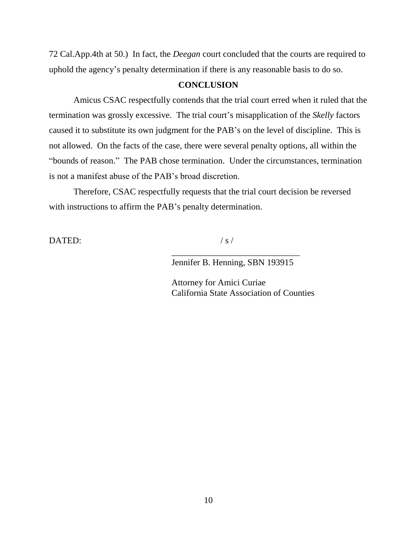72 Cal.App.4th at 50.) In fact, the *Deegan* court concluded that the courts are required to uphold the agency's penalty determination if there is any reasonable basis to do so.

### **CONCLUSION**

Amicus CSAC respectfully contends that the trial court erred when it ruled that the termination was grossly excessive. The trial court's misapplication of the *Skelly* factors caused it to substitute its own judgment for the PAB's on the level of discipline. This is not allowed. On the facts of the case, there were several penalty options, all within the "bounds of reason." The PAB chose termination. Under the circumstances, termination is not a manifest abuse of the PAB's broad discretion.

Therefore, CSAC respectfully requests that the trial court decision be reversed with instructions to affirm the PAB's penalty determination.

 $\text{DATED:}$  / s /

\_\_\_\_\_\_\_\_\_\_\_\_\_\_\_\_\_\_\_\_\_\_\_\_\_\_\_\_\_ Jennifer B. Henning, SBN 193915

Attorney for Amici Curiae California State Association of Counties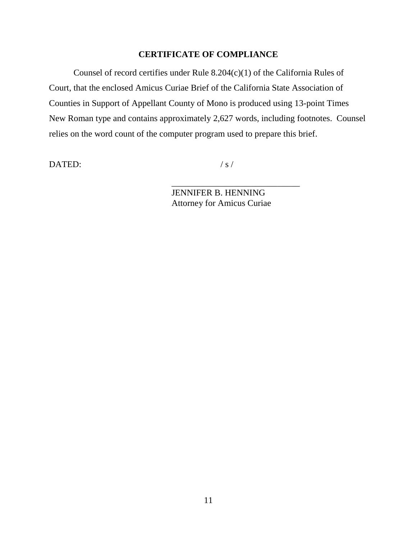## **CERTIFICATE OF COMPLIANCE**

Counsel of record certifies under Rule 8.204(c)(1) of the California Rules of Court, that the enclosed Amicus Curiae Brief of the California State Association of Counties in Support of Appellant County of Mono is produced using 13-point Times New Roman type and contains approximately 2,627 words, including footnotes. Counsel relies on the word count of the computer program used to prepare this brief.

 $\blacksquare$ DATED: /s/

\_\_\_\_\_\_\_\_\_\_\_\_\_\_\_\_\_\_\_\_\_\_\_\_\_\_\_\_\_

JENNIFER B. HENNING Attorney for Amicus Curiae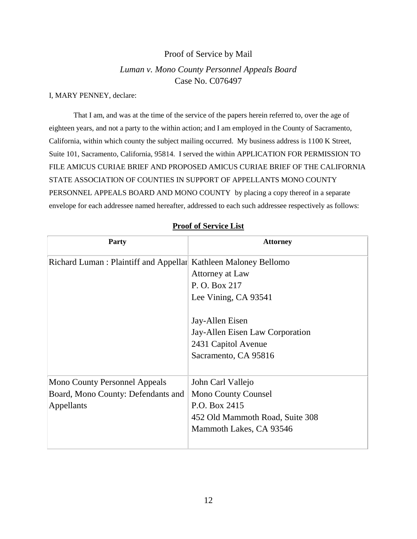## Proof of Service by Mail

## *Luman v. Mono County Personnel Appeals Board* Case No. C076497

#### I, MARY PENNEY, declare:

That I am, and was at the time of the service of the papers herein referred to, over the age of eighteen years, and not a party to the within action; and I am employed in the County of Sacramento, California, within which county the subject mailing occurred. My business address is 1100 K Street, Suite 101, Sacramento, California, 95814. I served the within APPLICATION FOR PERMISSION TO FILE AMICUS CURIAE BRIEF AND PROPOSED AMICUS CURIAE BRIEF OF THE CALIFORNIA STATE ASSOCIATION OF COUNTIES IN SUPPORT OF APPELLANTS MONO COUNTY PERSONNEL APPEALS BOARD AND MONO COUNTY by placing a copy thereof in a separate envelope for each addressee named hereafter, addressed to each such addressee respectively as follows:

| <b>Party</b>                                                   | <b>Attorney</b>                                                                                   |
|----------------------------------------------------------------|---------------------------------------------------------------------------------------------------|
| Richard Luman: Plaintiff and Appellar Kathleen Maloney Bellomo |                                                                                                   |
|                                                                | Attorney at Law                                                                                   |
|                                                                | P. O. Box 217                                                                                     |
|                                                                | Lee Vining, CA 93541                                                                              |
|                                                                | Jay-Allen Eisen<br>Jay-Allen Eisen Law Corporation<br>2431 Capitol Avenue<br>Sacramento, CA 95816 |
| <b>Mono County Personnel Appeals</b>                           | John Carl Vallejo                                                                                 |
| Board, Mono County: Defendants and                             | <b>Mono County Counsel</b>                                                                        |
| Appellants                                                     | P.O. Box 2415                                                                                     |
|                                                                | 452 Old Mammoth Road, Suite 308                                                                   |
|                                                                | Mammoth Lakes, CA 93546                                                                           |
|                                                                |                                                                                                   |

### **Proof of Service List**